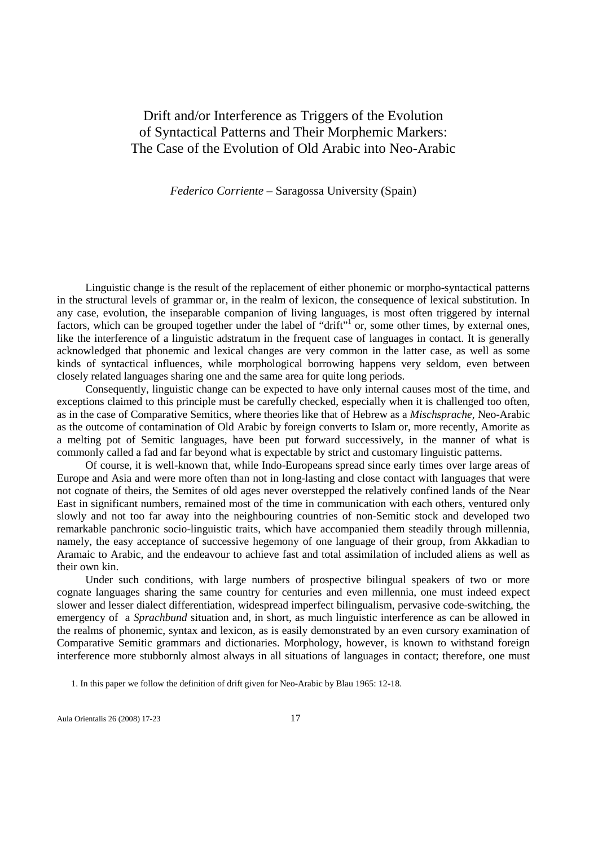## Drift and/or Interference as Triggers of the Evolution of Syntactical Patterns and Their Morphemic Markers: The Case of the Evolution of Old Arabic into Neo-Arabic

*Federico Corriente* – Saragossa University (Spain)

Linguistic change is the result of the replacement of either phonemic or morpho-syntactical patterns in the structural levels of grammar or, in the realm of lexicon, the consequence of lexical substitution. In any case, evolution, the inseparable companion of living languages, is most often triggered by internal factors, which can be grouped together under the label of "drift"<sup>1</sup> or, some other times, by external ones, like the interference of a linguistic adstratum in the frequent case of languages in contact. It is generally acknowledged that phonemic and lexical changes are very common in the latter case, as well as some kinds of syntactical influences, while morphological borrowing happens very seldom, even between closely related languages sharing one and the same area for quite long periods.

Consequently, linguistic change can be expected to have only internal causes most of the time, and exceptions claimed to this principle must be carefully checked, especially when it is challenged too often, as in the case of Comparative Semitics, where theories like that of Hebrew as a *Mischsprache*, Neo-Arabic as the outcome of contamination of Old Arabic by foreign converts to Islam or, more recently, Amorite as a melting pot of Semitic languages, have been put forward successively, in the manner of what is commonly called a fad and far beyond what is expectable by strict and customary linguistic patterns.

Of course, it is well-known that, while Indo-Europeans spread since early times over large areas of Europe and Asia and were more often than not in long-lasting and close contact with languages that were not cognate of theirs, the Semites of old ages never overstepped the relatively confined lands of the Near East in significant numbers, remained most of the time in communication with each others, ventured only slowly and not too far away into the neighbouring countries of non-Semitic stock and developed two remarkable panchronic socio-linguistic traits, which have accompanied them steadily through millennia, namely, the easy acceptance of successive hegemony of one language of their group, from Akkadian to Aramaic to Arabic, and the endeavour to achieve fast and total assimilation of included aliens as well as their own kin.

Under such conditions, with large numbers of prospective bilingual speakers of two or more cognate languages sharing the same country for centuries and even millennia, one must indeed expect slower and lesser dialect differentiation, widespread imperfect bilingualism, pervasive code-switching, the emergency of a *Sprachbund* situation and, in short, as much linguistic interference as can be allowed in the realms of phonemic, syntax and lexicon, as is easily demonstrated by an even cursory examination of Comparative Semitic grammars and dictionaries. Morphology, however, is known to withstand foreign interference more stubbornly almost always in all situations of languages in contact; therefore, one must

<sup>1.</sup> In this paper we follow the definition of drift given for Neo-Arabic by Blau 1965: 12-18.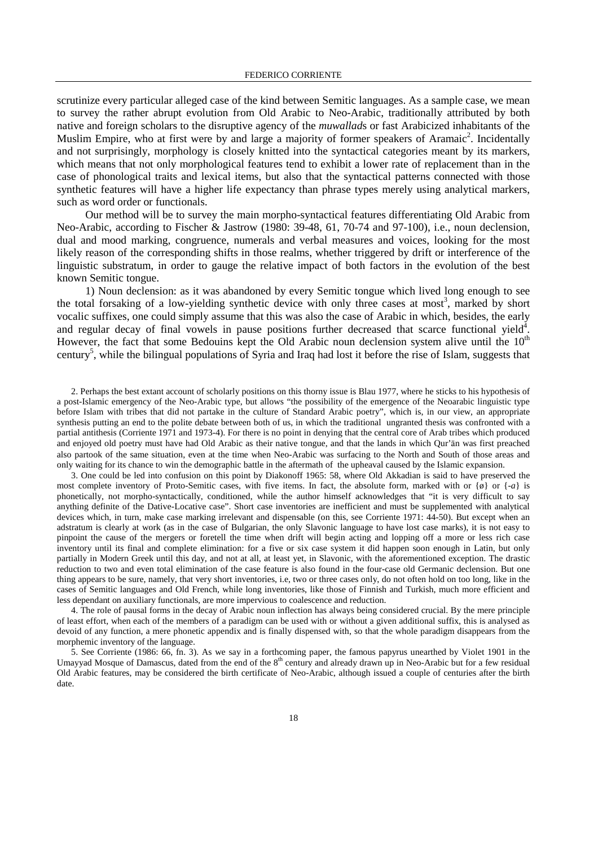scrutinize every particular alleged case of the kind between Semitic languages. As a sample case, we mean to survey the rather abrupt evolution from Old Arabic to Neo-Arabic, traditionally attributed by both native and foreign scholars to the disruptive agency of the *muwallad*s or fast Arabicized inhabitants of the Muslim Empire, who at first were by and large a majority of former speakers of Aramaic<sup>2</sup>. Incidentally and not surprisingly, morphology is closely knitted into the syntactical categories meant by its markers, which means that not only morphological features tend to exhibit a lower rate of replacement than in the case of phonological traits and lexical items, but also that the syntactical patterns connected with those synthetic features will have a higher life expectancy than phrase types merely using analytical markers, such as word order or functionals.

Our method will be to survey the main morpho-syntactical features differentiating Old Arabic from Neo-Arabic, according to Fischer & Jastrow (1980: 39-48, 61, 70-74 and 97-100), i.e., noun declension, dual and mood marking, congruence, numerals and verbal measures and voices, looking for the most likely reason of the corresponding shifts in those realms, whether triggered by drift or interference of the linguistic substratum, in order to gauge the relative impact of both factors in the evolution of the best known Semitic tongue.

1) Noun declension: as it was abandoned by every Semitic tongue which lived long enough to see the total forsaking of a low-yielding synthetic device with only three cases at most<sup>3</sup>, marked by short vocalic suffixes, one could simply assume that this was also the case of Arabic in which, besides, the early and regular decay of final vowels in pause positions further decreased that scarce functional yield<sup>4</sup>. However, the fact that some Bedouins kept the Old Arabic noun declension system alive until the  $10<sup>th</sup>$ century<sup>5</sup>, while the bilingual populations of Syria and Iraq had lost it before the rise of Islam, suggests that

2. Perhaps the best extant account of scholarly positions on this thorny issue is Blau 1977, where he sticks to his hypothesis of a post-Islamic emergency of the Neo-Arabic type, but allows "the possibility of the emergence of the Neoarabic linguistic type before Islam with tribes that did not partake in the culture of Standard Arabic poetry", which is, in our view, an appropriate synthesis putting an end to the polite debate between both of us, in which the traditional ungranted thesis was confronted with a partial antithesis (Corriente 1971 and 1973-4). For there is no point in denying that the central core of Arab tribes which produced and enjoyed old poetry must have had Old Arabic as their native tongue, and that the lands in which Qur'an was first preached also partook of the same situation, even at the time when Neo-Arabic was surfacing to the North and South of those areas and only waiting for its chance to win the demographic battle in the aftermath of the upheaval caused by the Islamic expansion.

3. One could be led into confusion on this point by Diakonoff 1965: 58, where Old Akkadian is said to have preserved the most complete inventory of Proto-Semitic cases, with five items. In fact, the absolute form, marked with or  $\{\phi\}$  or  $\{-a\}$  is phonetically, not morpho-syntactically, conditioned, while the author himself acknowledges that "it is very difficult to say anything definite of the Dative-Locative case". Short case inventories are inefficient and must be supplemented with analytical devices which, in turn, make case marking irrelevant and dispensable (on this, see Corriente 1971: 44-50). But except when an adstratum is clearly at work (as in the case of Bulgarian, the only Slavonic language to have lost case marks), it is not easy to pinpoint the cause of the mergers or foretell the time when drift will begin acting and lopping off a more or less rich case inventory until its final and complete elimination: for a five or six case system it did happen soon enough in Latin, but only partially in Modern Greek until this day, and not at all, at least yet, in Slavonic, with the aforementioned exception. The drastic reduction to two and even total elimination of the case feature is also found in the four-case old Germanic declension. But one thing appears to be sure, namely, that very short inventories, i.e, two or three cases only, do not often hold on too long, like in the cases of Semitic languages and Old French, while long inventories, like those of Finnish and Turkish, much more efficient and less dependant on auxiliary functionals, are more impervious to coalescence and reduction.

4. The role of pausal forms in the decay of Arabic noun inflection has always being considered crucial. By the mere principle of least effort, when each of the members of a paradigm can be used with or without a given additional suffix, this is analysed as devoid of any function, a mere phonetic appendix and is finally dispensed with, so that the whole paradigm disappears from the morphemic inventory of the language.

5. See Corriente (1986: 66, fn. 3). As we say in a forthcoming paper, the famous papyrus unearthed by Violet 1901 in the Umayyad Mosque of Damascus, dated from the end of the  $8<sup>th</sup>$  century and already drawn up in Neo-Arabic but for a few residual Old Arabic features, may be considered the birth certificate of Neo-Arabic, although issued a couple of centuries after the birth date.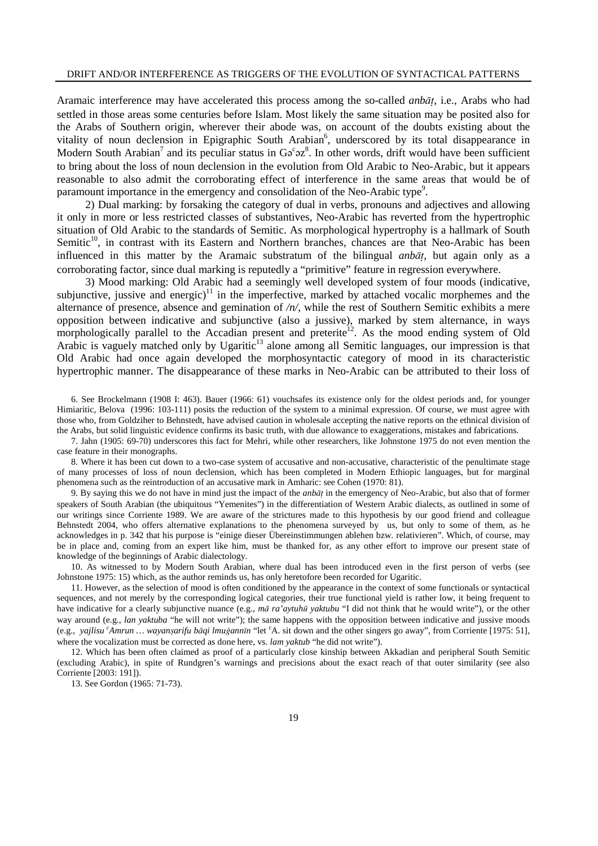## DRIFT AND/OR INTERFERENCE AS TRIGGERS OF THE EVOLUTION OF SYNTACTICAL PATTERNS

Aramaic interference may have accelerated this process among the so-called *anbāt*, i.e., Arabs who had settled in those areas some centuries before Islam. Most likely the same situation may be posited also for the Arabs of Southern origin, wherever their abode was, on account of the doubts existing about the vitality of noun declension in Epigraphic South Arabian<sup>6</sup>, underscored by its total disappearance in Modern South Arabian<sup>7</sup> and its peculiar status in  $\text{Ga}^c$  az<sup>8</sup>. In other words, drift would have been sufficient to bring about the loss of noun declension in the evolution from Old Arabic to Neo-Arabic, but it appears reasonable to also admit the corroborating effect of interference in the same areas that would be of paramount importance in the emergency and consolidation of the Neo-Arabic type<sup>9</sup>.

2) Dual marking: by forsaking the category of dual in verbs, pronouns and adjectives and allowing it only in more or less restricted classes of substantives, Neo-Arabic has reverted from the hypertrophic situation of Old Arabic to the standards of Semitic. As morphological hypertrophy is a hallmark of South Semitic<sup>10</sup>, in contrast with its Eastern and Northern branches, chances are that Neo-Arabic has been influenced in this matter by the Aramaic substratum of the bilingual *anbāt*, but again only as a corroborating factor, since dual marking is reputedly a "primitive" feature in regression everywhere.

3) Mood marking: Old Arabic had a seemingly well developed system of four moods (indicative, subjunctive, jussive and energic)<sup>11</sup> in the imperfective, marked by attached vocalic morphemes and the alternance of presence, absence and gemination of */n/*, while the rest of Southern Semitic exhibits a mere opposition between indicative and subjunctive (also a jussive), marked by stem alternance, in ways morphologically parallel to the Accadian present and preterite<sup>12</sup>. As the mood ending system of Old Arabic is vaguely matched only by Ugaritic<sup>13</sup> alone among all Semitic languages, our impression is that Old Arabic had once again developed the morphosyntactic category of mood in its characteristic hypertrophic manner. The disappearance of these marks in Neo-Arabic can be attributed to their loss of

6. See Brockelmann (1908 I: 463). Bauer (1966: 61) vouchsafes its existence only for the oldest periods and, for younger Himiaritic, Belova (1996: 103-111) posits the reduction of the system to a minimal expression. Of course, we must agree with those who, from Goldziher to Behnstedt, have advised caution in wholesale accepting the native reports on the ethnical division of the Arabs, but solid linguistic evidence confirms its basic truth, with due allowance to exaggerations, mistakes and fabrications.

7. Jahn (1905: 69-70) underscores this fact for Mehri, while other researchers, like Johnstone 1975 do not even mention the case feature in their monographs.

8. Where it has been cut down to a two-case system of accusative and non-accusative, characteristic of the penultimate stage of many processes of loss of noun declension, which has been completed in Modern Ethiopic languages, but for marginal phenomena such as the reintroduction of an accusative mark in Amharic: see Cohen (1970: 81).

9. By saying this we do not have in mind just the impact of the *anbāt* in the emergency of Neo-Arabic, but also that of former speakers of South Arabian (the ubiquitous "Yemenites") in the differentiation of Western Arabic dialects, as outlined in some of our writings since Corriente 1989. We are aware of the strictures made to this hypothesis by our good friend and colleague Behnstedt 2004, who offers alternative explanations to the phenomena surveyed by us, but only to some of them, as he acknowledges in p. 342 that his purpose is "einige dieser Übereinstimmungen ablehen bzw. relativieren". Which, of course, may be in place and, coming from an expert like him, must be thanked for, as any other effort to improve our present state of knowledge of the beginnings of Arabic dialectology.

10. As witnessed to by Modern South Arabian, where dual has been introduced even in the first person of verbs (see Johnstone 1975: 15) which, as the author reminds us, has only heretofore been recorded for Ugaritic.

11. However, as the selection of mood is often conditioned by the appearance in the context of some functionals or syntactical sequences, and not merely by the corresponding logical categories, their true functional yield is rather low, it being frequent to have indicative for a clearly subjunctive nuance (e.g.,  $m\bar{a}$  ra'aytuhū yaktubu "I did not think that he would write"), or the other way around (e.g., *lan yaktuba* "he will not write"); the same happens with the opposition between indicative and jussive moods (e.g., *yajlisu <sup>c</sup>Amrun … wayan*§*arifu b*¿*qi lmu*\*ann*∞*n* "let <sup>c</sup>A. sit down and the other singers go away", from Corriente [1975: 51], where the vocalization must be corrected as done here, vs. *lam yaktub* "he did not write").

12. Which has been often claimed as proof of a particularly close kinship between Akkadian and peripheral South Semitic (excluding Arabic), in spite of Rundgren's warnings and precisions about the exact reach of that outer similarity (see also Corriente [2003: 191]).

13. See Gordon (1965: 71-73).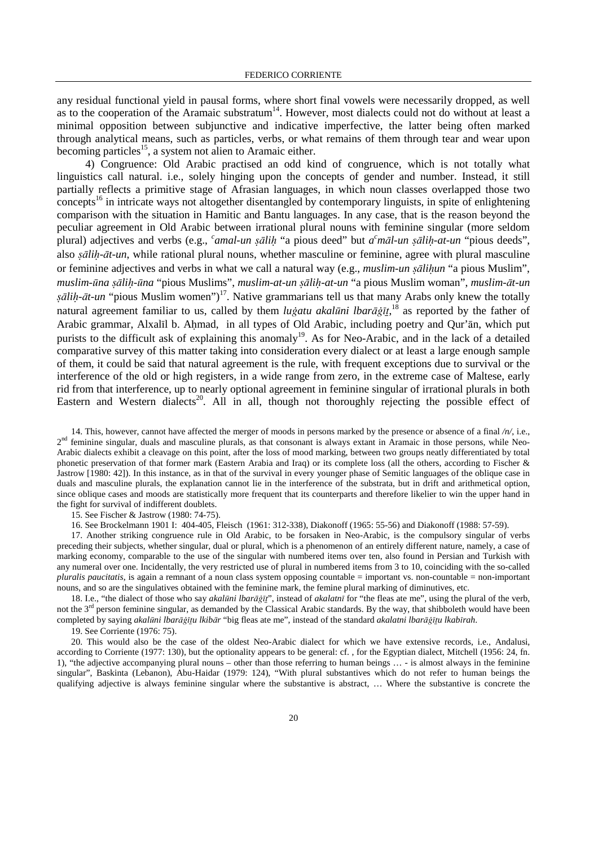any residual functional yield in pausal forms, where short final vowels were necessarily dropped, as well as to the cooperation of the Aramaic substratum<sup>14</sup>. However, most dialects could not do without at least a minimal opposition between subjunctive and indicative imperfective, the latter being often marked through analytical means, such as particles, verbs, or what remains of them through tear and wear upon becoming particles<sup>15</sup>, a system not alien to Aramaic either.

4) Congruence: Old Arabic practised an odd kind of congruence, which is not totally what linguistics call natural. i.e., solely hinging upon the concepts of gender and number. Instead, it still partially reflects a primitive stage of Afrasian languages, in which noun classes overlapped those two concepts<sup>16</sup> in intricate ways not altogether disentangled by contemporary linguists, in spite of enlightening comparison with the situation in Hamitic and Bantu languages. In any case, that is the reason beyond the peculiar agreement in Old Arabic between irrational plural nouns with feminine singular (more seldom plural) adjectives and verbs (e.g., *camal-un șālih* "a pious deed" but *a*<sup>c</sup>māl-un *șālih-at-un* "pious deeds", also *șālih-āt-un*, while rational plural nouns, whether masculine or feminine, agree with plural masculine or feminine adjectives and verbs in what we call a natural way (e.g., *muslim-un salihun* "a pious Muslim", *muslim-*´*na* §¿*li*ú*-*´*na* "pious Muslims", *muslim-at-un* §¿*li*ú*-at-un* "a pious Muslim woman", *muslim-*¿*t-un*  §¿*li*ú*-*¿*t-un* "pious Muslim women")<sup>17</sup>. Native grammarians tell us that many Arabs only knew the totally natural agreement familiar to us, called by them *lugatu akalūni lbarāg*it,<sup>18</sup> as reported by the father of Arabic grammar, Alxalīl b. Ahmad, in all types of Old Arabic, including poetry and Qur'ān, which put purists to the difficult ask of explaining this anomaly<sup>19</sup>. As for Neo-Arabic, and in the lack of a detailed comparative survey of this matter taking into consideration every dialect or at least a large enough sample of them, it could be said that natural agreement is the rule, with frequent exceptions due to survival or the interference of the old or high registers, in a wide range from zero, in the extreme case of Maltese, early rid from that interference, up to nearly optional agreement in feminine singular of irrational plurals in both Eastern and Western dialects<sup>20</sup>. All in all, though not thoroughly rejecting the possible effect of

14. This, however, cannot have affected the merger of moods in persons marked by the presence or absence of a final */n/*, i.e., 2<sup>nd</sup> feminine singular, duals and masculine plurals, as that consonant is always extant in Aramaic in those persons, while Neo-Arabic dialects exhibit a cleavage on this point, after the loss of mood marking, between two groups neatly differentiated by total phonetic preservation of that former mark (Eastern Arabia and Iraq) or its complete loss (all the others, according to Fischer & Jastrow [1980: 42]). In this instance, as in that of the survival in every younger phase of Semitic languages of the oblique case in duals and masculine plurals, the explanation cannot lie in the interference of the substrata, but in drift and arithmetical option, since oblique cases and moods are statistically more frequent that its counterparts and therefore likelier to win the upper hand in the fight for survival of indifferent doublets.

15. See Fischer & Jastrow (1980: 74-75).

16. See Brockelmann 1901 I: 404-405, Fleisch (1961: 312-338), Diakonoff (1965: 55-56) and Diakonoff (1988: 57-59).

17. Another striking congruence rule in Old Arabic, to be forsaken in Neo-Arabic, is the compulsory singular of verbs preceding their subjects, whether singular, dual or plural, which is a phenomenon of an entirely different nature, namely, a case of marking economy, comparable to the use of the singular with numbered items over ten, also found in Persian and Turkish with any numeral over one. Incidentally, the very restricted use of plural in numbered items from 3 to 10, coinciding with the so-called *pluralis paucitatis*, is again a remnant of a noun class system opposing countable = important vs. non-countable = non-important nouns, and so are the singulatives obtained with the feminine mark, the femine plural marking of diminutives, etc.

18. I.e., "the dialect of those who say *akalūni lbarāġī*", instead of *akalatnī* for "the fleas ate me", using the plural of the verb, not the 3<sup>rd</sup> person feminine singular, as demanded by the Classical Arabic standards. By the way, that shibboleth would have been completed by saying *akal*´*ni lbar*¿\∞¨*u lkib*¿*r* "big fleas ate me", instead of the standard *akalatni lbar*¿\∞¨*u lkab*∞*rah*.

19. See Corriente (1976: 75).

20. This would also be the case of the oldest Neo-Arabic dialect for which we have extensive records, i.e., Andalusi, according to Corriente (1977: 130), but the optionality appears to be general: cf. , for the Egyptian dialect, Mitchell (1956: 24, fn. 1), "the adjective accompanying plural nouns – other than those referring to human beings … - is almost always in the feminine singular", Baskinta (Lebanon), Abu-Haidar (1979: 124), "With plural substantives which do not refer to human beings the qualifying adjective is always feminine singular where the substantive is abstract, … Where the substantive is concrete the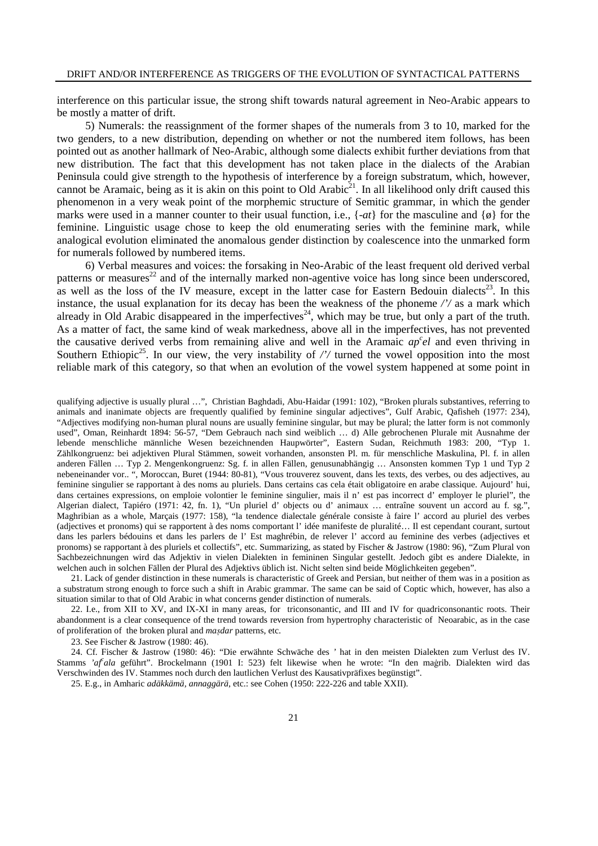interference on this particular issue, the strong shift towards natural agreement in Neo-Arabic appears to be mostly a matter of drift.

5) Numerals: the reassignment of the former shapes of the numerals from 3 to 10, marked for the two genders, to a new distribution, depending on whether or not the numbered item follows, has been pointed out as another hallmark of Neo-Arabic, although some dialects exhibit further deviations from that new distribution. The fact that this development has not taken place in the dialects of the Arabian Peninsula could give strength to the hypothesis of interference by a foreign substratum, which, however, cannot be Aramaic, being as it is akin on this point to Old Arabic<sup>21</sup>. In all likelihood only drift caused this phenomenon in a very weak point of the morphemic structure of Semitic grammar, in which the gender marks were used in a manner counter to their usual function, i.e.,  $\{-at\}$  for the masculine and  $\{\emptyset\}$  for the feminine. Linguistic usage chose to keep the old enumerating series with the feminine mark, while analogical evolution eliminated the anomalous gender distinction by coalescence into the unmarked form for numerals followed by numbered items.

6) Verbal measures and voices: the forsaking in Neo-Arabic of the least frequent old derived verbal patterns or measures<sup>22</sup> and of the internally marked non-agentive voice has long since been underscored, as well as the loss of the IV measure, except in the latter case for Eastern Bedouin dialects<sup>23</sup>. In this instance, the usual explanation for its decay has been the weakness of the phoneme */'/* as a mark which already in Old Arabic disappeared in the imperfectives<sup>24</sup>, which may be true, but only a part of the truth. As a matter of fact, the same kind of weak markedness, above all in the imperfectives, has not prevented the causative derived verbs from remaining alive and well in the Aramaic *ap c el* and even thriving in Southern Ethiopic<sup>25</sup>. In our view, the very instability of  $\frac{\partial}{\partial t}$  turned the vowel opposition into the most reliable mark of this category, so that when an evolution of the vowel system happened at some point in

qualifying adjective is usually plural ...", Christian Baghdadi, Abu-Haidar (1991: 102), "Broken plurals substantives, referring to animals and inanimate objects are frequently qualified by feminine singular adjectives", Gulf Arabic, Qafisheh (1977: 234), "Adjectives modifying non-human plural nouns are usually feminine singular, but may be plural; the latter form is not commonly used", Oman, Reinhardt 1894: 56-57, "Dem Gebrauch nach sind weiblich … d) Alle gebrochenen Plurale mit Ausnahme der lebende menschliche männliche Wesen bezeichnenden Haupwörter", Eastern Sudan, Reichmuth 1983: 200, "Typ 1. Zählkongruenz: bei adjektiven Plural Stämmen, soweit vorhanden, ansonsten Pl. m. für menschliche Maskulina, Pl. f. in allen anderen Fällen … Typ 2. Mengenkongruenz: Sg. f. in allen Fällen, genusunabhängig … Ansonsten kommen Typ 1 und Typ 2 nebeneinander vor.. ", Moroccan, Buret (1944: 80-81), "Vous trouverez souvent, dans les texts, des verbes, ou des adjectives, au feminine singulier se rapportant à des noms au pluriels. Dans certains cas cela était obligatoire en arabe classique. Aujourd' hui, dans certaines expressions, on emploie volontier le feminine singulier, mais il n' est pas incorrect d' employer le pluriel", the Algerian dialect, Tapiéro (1971: 42, fn. 1), "Un pluriel d' objects ou d' animaux … entraîne souvent un accord au f. sg.", Maghribian as a whole, Marçais (1977: 158), "la tendence dialectale générale consiste à faire l' accord au pluriel des verbes (adjectives et pronoms) qui se rapportent à des noms comportant l' idée manifeste de pluralité… Il est cependant courant, surtout dans les parlers bédouins et dans les parlers de l' Est maghrébin, de relever l' accord au feminine des verbes (adjectives et pronoms) se rapportant à des pluriels et collectifs", etc. Summarizing, as stated by Fischer & Jastrow (1980: 96), "Zum Plural von Sachbezeichnungen wird das Adjektiv in vielen Dialekten in femininen Singular gestellt. Jedoch gibt es andere Dialekte, in welchen auch in solchen Fällen der Plural des Adjektivs üblich ist. Nicht selten sind beide Möglichkeiten gegeben".

21. Lack of gender distinction in these numerals is characteristic of Greek and Persian, but neither of them was in a position as a substratum strong enough to force such a shift in Arabic grammar. The same can be said of Coptic which, however, has also a situation similar to that of Old Arabic in what concerns gender distinction of numerals.

22. I.e., from XII to XV, and IX-XI in many areas, for triconsonantic, and III and IV for quadriconsonantic roots. Their abandonment is a clear consequence of the trend towards reversion from hypertrophy characteristic of Neoarabic, as in the case of proliferation of the broken plural and *ma*§*dar* patterns, etc.

23. See Fischer & Jastrow (1980: 46).

24. Cf. Fischer & Jastrow (1980: 46): "Die erwähnte Schwäche des *'* hat in den meisten Dialekten zum Verlust des IV. Stamms 'af<sup>c</sup>ala geführt". Brockelmann (1901 I: 523) felt likewise when he wrote: "In den maġrib. Dialekten wird das Verschwinden des IV. Stammes noch durch den lautlichen Verlust des Kausativpräfixes begünstigt".

25. E.g., in Amharic *adäkkämä, annaggärä*, etc.: see Cohen (1950: 222-226 and table XXII).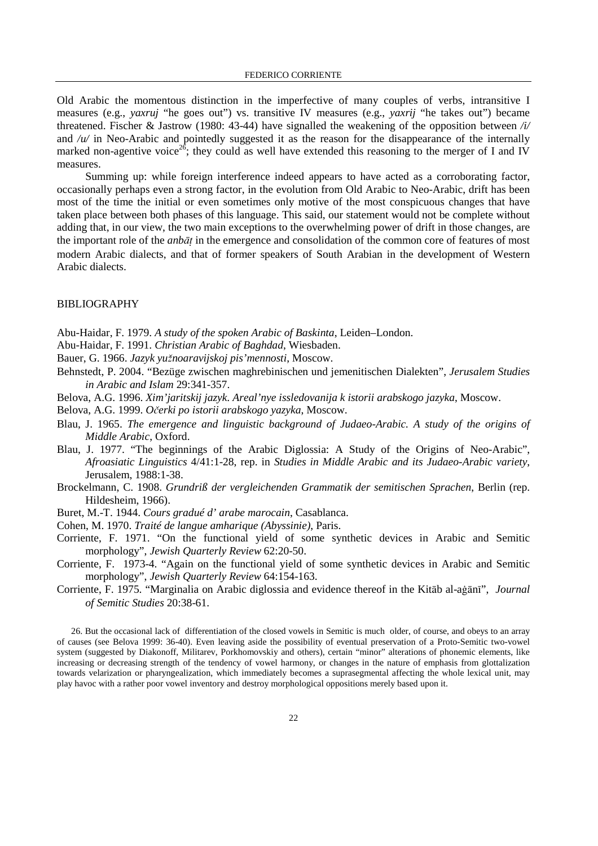Old Arabic the momentous distinction in the imperfective of many couples of verbs, intransitive I measures (e.g., *yaxruj* "he goes out") vs. transitive IV measures (e.g., *yaxrij* "he takes out") became threatened. Fischer & Jastrow (1980: 43-44) have signalled the weakening of the opposition between */i/* and /u/ in Neo-Arabic and pointedly suggested it as the reason for the disappearance of the internally marked non-agentive voice<sup>26</sup>; they could as well have extended this reasoning to the merger of I and IV measures.

Summing up: while foreign interference indeed appears to have acted as a corroborating factor, occasionally perhaps even a strong factor, in the evolution from Old Arabic to Neo-Arabic, drift has been most of the time the initial or even sometimes only motive of the most conspicuous changes that have taken place between both phases of this language. This said, our statement would not be complete without adding that, in our view, the two main exceptions to the overwhelming power of drift in those changes, are the important role of the *anbāt* in the emergence and consolidation of the common core of features of most modern Arabic dialects, and that of former speakers of South Arabian in the development of Western Arabic dialects.

## BIBLIOGRAPHY

Abu-Haidar, F. 1979. *A study of the spoken Arabic of Baskinta*, Leiden–London.

Abu-Haidar, F. 1991. *Christian Arabic of Baghdad*, Wiesbaden.

Bauer, G. 1966. *Jazyk yužnoaravijskoj pis' mennosti*, Moscow.

Behnstedt, P. 2004. "Bezüge zwischen maghrebinischen und jemenitischen Dialekten", *Jerusalem Studies in Arabic and Islam* 29:341-357.

Belova, A.G. 1996. *Xim'jaritskij jazyk. Areal'nye issledovanija k istorii arabskogo jazyka*, Moscow.

Belova, A.G. 1999. *O*ć*erki po istorii arabskogo yazyka*, Moscow.

- Blau, J. 1965. *The emergence and linguistic background of Judaeo-Arabic. A study of the origins of Middle Arabic*, Oxford.
- Blau, J. 1977. "The beginnings of the Arabic Diglossia: A Study of the Origins of Neo-Arabic", *Afroasiatic Linguistics* 4/41:1-28, rep. in *Studies in Middle Arabic and its Judaeo-Arabic variety*, Jerusalem, 1988:1-38.
- Brockelmann, C. 1908. *Grundriß der vergleichenden Grammatik der semitischen Sprachen*, Berlin (rep. Hildesheim, 1966).
- Buret, M.-T. 1944. *Cours gradué d' arabe marocain*, Casablanca.

Cohen, M. 1970. *Traité de langue amharique (Abyssinie)*, Paris.

- Corriente, F. 1971. "On the functional yield of some synthetic devices in Arabic and Semitic morphology", *Jewish Quarterly Review* 62:20-50.
- Corriente, F. 1973-4. "Again on the functional yield of some synthetic devices in Arabic and Semitic morphology", *Jewish Quarterly Review* 64:154-163.
- Corriente, F. 1975. "Marginalia on Arabic diglossia and evidence thereof in the Kitāb al-aġānī", *Journal of Semitic Studies* 20:38-61.

26. But the occasional lack of differentiation of the closed vowels in Semitic is much older, of course, and obeys to an array of causes (see Belova 1999: 36-40). Even leaving aside the possibility of eventual preservation of a Proto-Semitic two-vowel system (suggested by Diakonoff, Militarev, Porkhomovskiy and others), certain "minor" alterations of phonemic elements, like increasing or decreasing strength of the tendency of vowel harmony, or changes in the nature of emphasis from glottalization towards velarization or pharyngealization, which immediately becomes a suprasegmental affecting the whole lexical unit, may play havoc with a rather poor vowel inventory and destroy morphological oppositions merely based upon it.